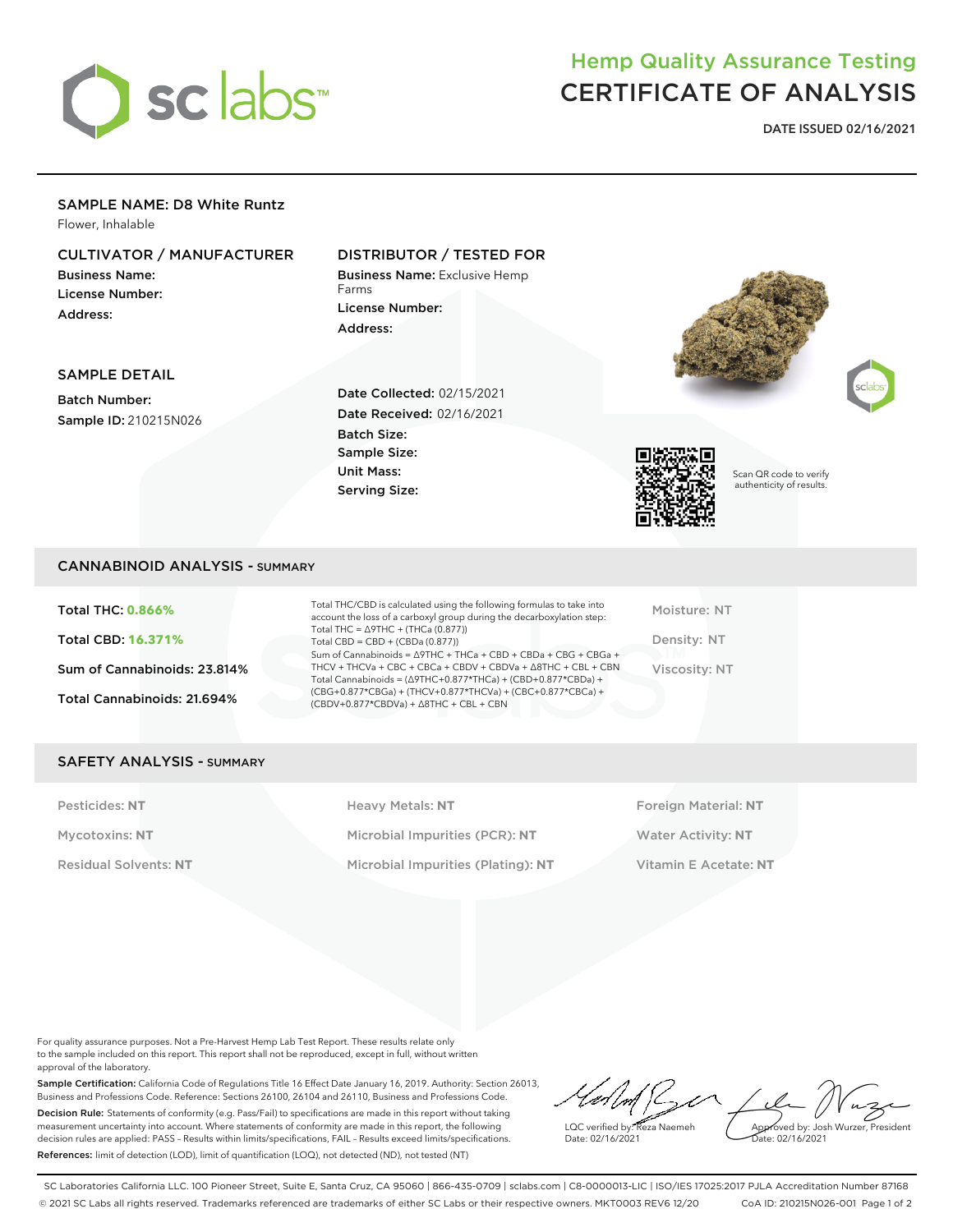

# Hemp Quality Assurance Testing CERTIFICATE OF ANALYSIS

**DATE ISSUED 02/16/2021**

## SAMPLE NAME: D8 White Runtz

Flower, Inhalable

## CULTIVATOR / MANUFACTURER

Business Name: License Number: Address:

## DISTRIBUTOR / TESTED FOR

Business Name: Exclusive Hemp Farms License Number: Address:





#### SAMPLE DETAIL

Batch Number: Sample ID: 210215N026 Date Collected: 02/15/2021 Date Received: 02/16/2021 Batch Size: Sample Size: Unit Mass: Serving Size:



Scan QR code to verify authenticity of results.

#### CANNABINOID ANALYSIS - SUMMARY

Total THC: **0.866%** Total CBD: **16.371%** Sum of Cannabinoids: 23.814% Total Cannabinoids: 21.694%

Total THC/CBD is calculated using the following formulas to take into account the loss of a carboxyl group during the decarboxylation step: Total THC = ∆9THC + (THCa (0.877)) Total CBD = CBD + (CBDa (0.877)) Sum of Cannabinoids = ∆9THC + THCa + CBD + CBDa + CBG + CBGa + THCV + THCVa + CBC + CBCa + CBDV + CBDVa + ∆8THC + CBL + CBN Total Cannabinoids = (∆9THC+0.877\*THCa) + (CBD+0.877\*CBDa) + (CBG+0.877\*CBGa) + (THCV+0.877\*THCVa) + (CBC+0.877\*CBCa) + (CBDV+0.877\*CBDVa) + ∆8THC + CBL + CBN

Moisture: NT Density: NT Viscosity: NT

### SAFETY ANALYSIS - SUMMARY

Pesticides: NT **All Accords** Heavy Metals: NT **Foreign Material: NT** Pesticides: NT Mycotoxins: **NT** Microbial Impurities (PCR): **NT** Water Activity: **NT** Residual Solvents: **NT** Microbial Impurities (Plating): **NT** Vitamin E Acetate: **NT**

For quality assurance purposes. Not a Pre-Harvest Hemp Lab Test Report. These results relate only to the sample included on this report. This report shall not be reproduced, except in full, without written approval of the laboratory.

Sample Certification: California Code of Regulations Title 16 Effect Date January 16, 2019. Authority: Section 26013, Business and Professions Code. Reference: Sections 26100, 26104 and 26110, Business and Professions Code. Decision Rule: Statements of conformity (e.g. Pass/Fail) to specifications are made in this report without taking measurement uncertainty into account. Where statements of conformity are made in this report, the following decision rules are applied: PASS – Results within limits/specifications, FAIL – Results exceed limits/specifications. References: limit of detection (LOD), limit of quantification (LOQ), not detected (ND), not tested (NT)

LQC verified by: Reza Naemeh Date: 02/16/2021 Approved by: Josh Wurzer, President ate: 02/16/2021

SC Laboratories California LLC. 100 Pioneer Street, Suite E, Santa Cruz, CA 95060 | 866-435-0709 | sclabs.com | C8-0000013-LIC | ISO/IES 17025:2017 PJLA Accreditation Number 87168 © 2021 SC Labs all rights reserved. Trademarks referenced are trademarks of either SC Labs or their respective owners. MKT0003 REV6 12/20 CoA ID: 210215N026-001 Page 1 of 2